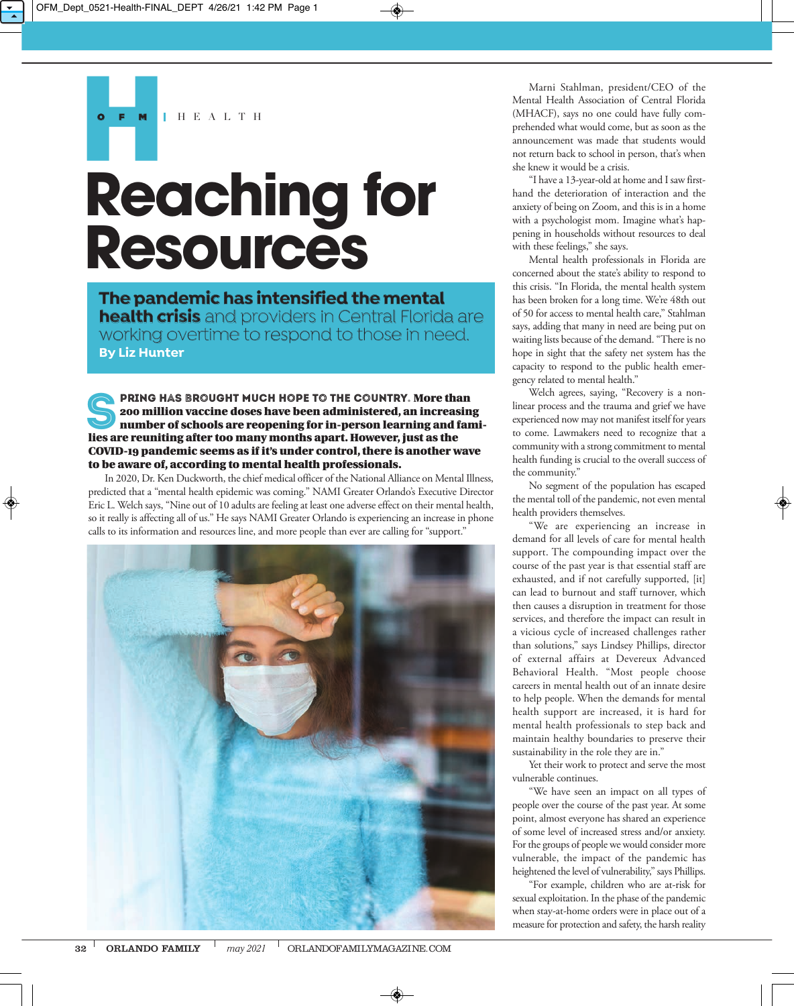H E A L T H

## **Reaching for Resources**

**The pandemic has intensified the mental health crisis** and providers in Central Florida are working overtime to respond to those in need. **By Liz Hunter**

PRING HAS BROUGHT MUCH HOPE TO THE COUNTRY. More than 200 million vaccine doses have been administered, an increasing number of schools are reopening for in-person learning and families are reuniting after too many months apart. However, just as the COVID-19 pandemic seems as if it's under control, there is another wave to be aware of, according to mental health professionals.

In 2020, Dr. Ken Duckworth, the chief medical officer of the National Alliance on Mental Illness, predicted that a "mental health epidemic was coming." NAMI Greater Orlando's Executive Director Eric L. Welch says, "Nine out of 10 adults are feeling at least one adverse effect on their mental health, so it really is affecting all of us." He says NAMI Greater Orlando is experiencing an increase in phone calls to its information and resources line, and more people than ever are calling for "support."



Marni Stahlman, president/CEO of the Mental Health Association of Central Florida (MHACF), says no one could have fully comprehended what would come, but as soon as the announcement was made that students would not return back to school in person, that's when she knew it would be a crisis.

"I have a 13-year-old at home and I saw firsthand the deterioration of interaction and the anxiety of being on Zoom, and this is in a home with a psychologist mom. Imagine what's happening in households without resources to deal with these feelings," she says.

Mental health professionals in Florida are concerned about the state's ability to respond to this crisis. "In Florida, the mental health system has been broken for a long time. We're 48th out of 50 for access to mental health care," Stahlman says, adding that many in need are being put on waiting lists because of the demand. "There is no hope in sight that the safety net system has the capacity to respond to the public health emergency related to mental health."

Welch agrees, saying, "Recovery is a nonlinear process and the trauma and grief we have experienced now may not manifest itself for years to come. Lawmakers need to recognize that a community with a strong commitment to mental health funding is crucial to the overall success of the community."

No segment of the population has escaped the mental toll of the pandemic, not even mental health providers themselves.

"We are experiencing an increase in demand for all levels of care for mental health support. The compounding impact over the course of the past year is that essential staff are exhausted, and if not carefully supported, [it] can lead to burnout and staff turnover, which then causes a disruption in treatment for those services, and therefore the impact can result in a vicious cycle of increased challenges rather than solutions," says Lindsey Phillips, director of external affairs at Devereux Advanced Behavioral Health. "Most people choose careers in mental health out of an innate desire to help people. When the demands for mental health support are increased, it is hard for mental health professionals to step back and maintain healthy boundaries to preserve their sustainability in the role they are in."

Yet their work to protect and serve the most vulnerable continues.

"We have seen an impact on all types of people over the course of the past year. At some point, almost everyone has shared an experience of some level of increased stress and/or anxiety. For the groups of people we would consider more vulnerable, the impact of the pandemic has heightened the level of vulnerability," says Phillips.

"For example, children who are at-risk for sexual exploitation. In the phase of the pandemic when stay-at-home orders were in place out of a measure for protection and safety, the harsh reality